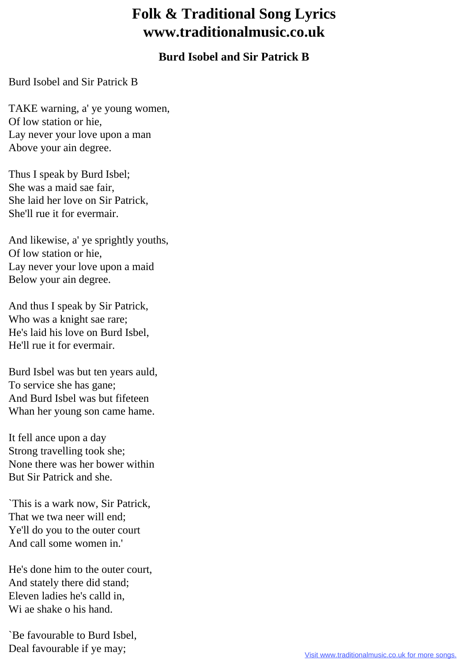## **Folk & Traditional Song Lyrics www.traditionalmusic.co.uk**

## **Burd Isobel and Sir Patrick B**

Burd Isobel and Sir Patrick B

TAKE warning, a' ye young women, Of low station or hie, Lay never your love upon a man Above your ain degree.

Thus I speak by Burd Isbel; She was a maid sae fair, She laid her love on Sir Patrick, She'll rue it for evermair.

And likewise, a' ye sprightly youths, Of low station or hie, Lay never your love upon a maid Below your ain degree.

And thus I speak by Sir Patrick, Who was a knight sae rare; He's laid his love on Burd Isbel, He'll rue it for evermair.

Burd Isbel was but ten years auld, To service she has gane; And Burd Isbel was but fifeteen Whan her young son came hame.

It fell ance upon a day Strong travelling took she; None there was her bower within But Sir Patrick and she.

`This is a wark now, Sir Patrick, That we twa neer will end; Ye'll do you to the outer court And call some women in.'

He's done him to the outer court, And stately there did stand; Eleven ladies he's calld in, Wi ae shake o his hand.

`Be favourable to Burd Isbel, Deal favourable if ye may;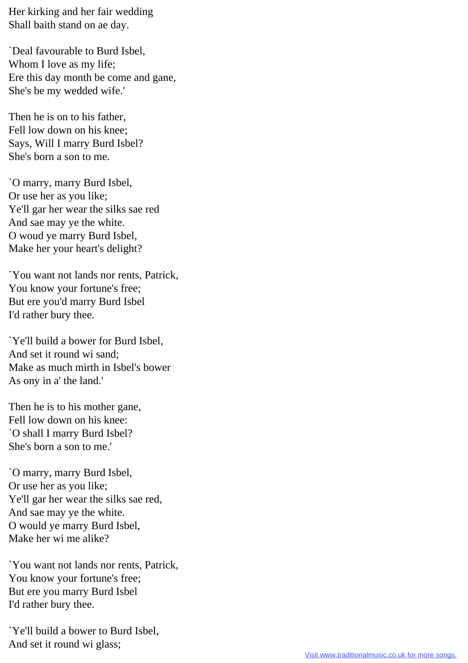Her kirking and her fair wedding Shall baith stand on ae day.

`Deal favourable to Burd Isbel, Whom I love as my life; Ere this day month be come and gane, She's be my wedded wife.'

Then he is on to his father, Fell low down on his knee; Says, Will I marry Burd Isbel? She's born a son to me.

`O marry, marry Burd Isbel, Or use her as you like; Ye'll gar her wear the silks sae red And sae may ye the white. O woud ye marry Burd Isbel, Make her your heart's delight?

`You want not lands nor rents, Patrick, You know your fortune's free; But ere you'd marry Burd Isbel I'd rather bury thee.

`Ye'll build a bower for Burd Isbel, And set it round wi sand; Make as much mirth in Isbel's bower As ony in a' the land.'

Then he is to his mother gane, Fell low down on his knee: `O shall I marry Burd Isbel? She's born a son to me.'

`O marry, marry Burd Isbel, Or use her as you like; Ye'll gar her wear the silks sae red, And sae may ye the white. O would ye marry Burd Isbel, Make her wi me alike?

`You want not lands nor rents, Patrick, You know your fortune's free; But ere you marry Burd Isbel I'd rather bury thee.

`Ye'll build a bower to Burd Isbel, And set it round wi glass;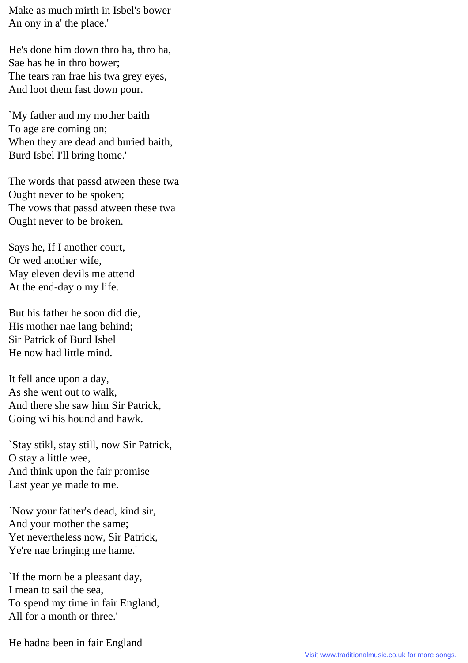Make as much mirth in Isbel's bower An ony in a' the place.'

He's done him down thro ha, thro ha, Sae has he in thro bower; The tears ran frae his twa grey eyes, And loot them fast down pour.

`My father and my mother baith To age are coming on; When they are dead and buried baith, Burd Isbel I'll bring home.'

The words that passd atween these twa Ought never to be spoken; The vows that passd atween these twa Ought never to be broken.

Says he, If I another court, Or wed another wife, May eleven devils me attend At the end-day o my life.

But his father he soon did die, His mother nae lang behind; Sir Patrick of Burd Isbel He now had little mind.

It fell ance upon a day, As she went out to walk, And there she saw him Sir Patrick, Going wi his hound and hawk.

`Stay stikl, stay still, now Sir Patrick, O stay a little wee, And think upon the fair promise Last year ye made to me.

`Now your father's dead, kind sir, And your mother the same; Yet nevertheless now, Sir Patrick, Ye're nae bringing me hame.'

`If the morn be a pleasant day, I mean to sail the sea, To spend my time in fair England, All for a month or three.'

He hadna been in fair England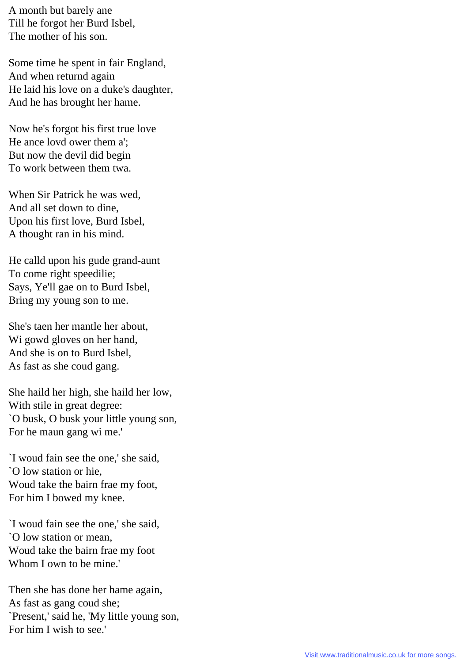A month but barely ane Till he forgot her Burd Isbel, The mother of his son.

Some time he spent in fair England, And when returnd again He laid his love on a duke's daughter, And he has brought her hame.

Now he's forgot his first true love He ance lovd ower them a'; But now the devil did begin To work between them twa.

When Sir Patrick he was wed, And all set down to dine, Upon his first love, Burd Isbel, A thought ran in his mind.

He calld upon his gude grand-aunt To come right speedilie; Says, Ye'll gae on to Burd Isbel, Bring my young son to me.

She's taen her mantle her about, Wi gowd gloves on her hand, And she is on to Burd Isbel, As fast as she coud gang.

She haild her high, she haild her low, With stile in great degree: `O busk, O busk your little young son, For he maun gang wi me.'

`I woud fain see the one,' she said, `O low station or hie, Woud take the bairn frae my foot, For him I bowed my knee.

`I woud fain see the one,' she said, `O low station or mean, Woud take the bairn frae my foot Whom I own to be mine.'

Then she has done her hame again, As fast as gang coud she; `Present,' said he, 'My little young son, For him I wish to see.'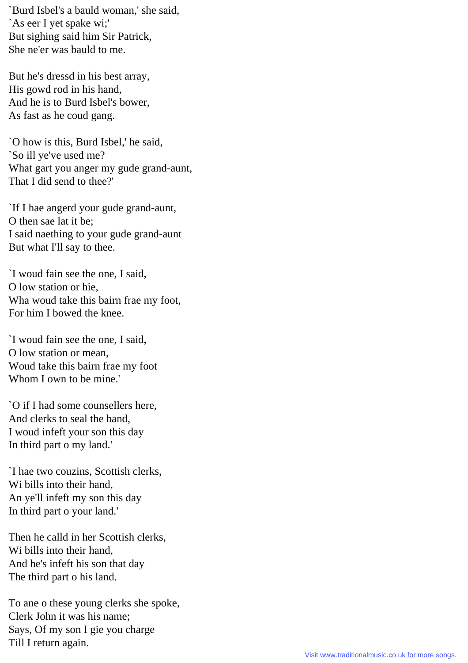`Burd Isbel's a bauld woman,' she said, `As eer I yet spake wi;' But sighing said him Sir Patrick, She ne'er was bauld to me.

But he's dressd in his best array, His gowd rod in his hand, And he is to Burd Isbel's bower, As fast as he coud gang.

`O how is this, Burd Isbel,' he said, `So ill ye've used me? What gart you anger my gude grand-aunt, That I did send to thee?'

`If I hae angerd your gude grand-aunt, O then sae lat it be; I said naething to your gude grand-aunt But what I'll say to thee.

`I woud fain see the one, I said, O low station or hie, Wha woud take this bairn frae my foot, For him I bowed the knee.

`I woud fain see the one, I said, O low station or mean, Woud take this bairn frae my foot Whom I own to be mine.'

`O if I had some counsellers here, And clerks to seal the band, I woud infeft your son this day In third part o my land.'

`I hae two couzins, Scottish clerks, Wi bills into their hand, An ye'll infeft my son this day In third part o your land.'

Then he calld in her Scottish clerks, Wi bills into their hand, And he's infeft his son that day The third part o his land.

To ane o these young clerks she spoke, Clerk John it was his name; Says, Of my son I gie you charge Till I return again.